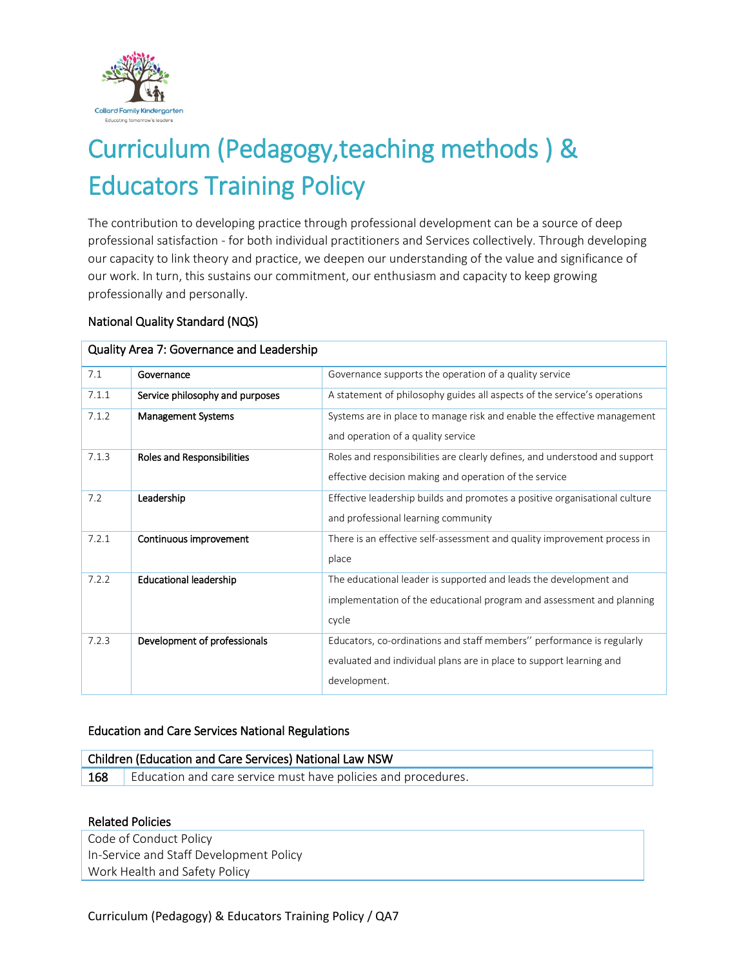

# Curriculum (Pedagogy,teaching methods ) & Educators Training Policy

The contribution to developing practice through professional development can be a source of deep professional satisfaction - for both individual practitioners and Services collectively. Through developing our capacity to link theory and practice, we deepen our understanding of the value and significance of our work. In turn, this sustains our commitment, our enthusiasm and capacity to keep growing professionally and personally.

### National Quality Standard (NQS)

| Quality Area 7: Governance and Leadership |                                 |                                                                                                                                                              |  |  |
|-------------------------------------------|---------------------------------|--------------------------------------------------------------------------------------------------------------------------------------------------------------|--|--|
| 7.1                                       | Governance                      | Governance supports the operation of a quality service                                                                                                       |  |  |
| 7.1.1                                     | Service philosophy and purposes | A statement of philosophy guides all aspects of the service's operations                                                                                     |  |  |
| 7.1.2                                     | <b>Management Systems</b>       | Systems are in place to manage risk and enable the effective management<br>and operation of a quality service                                                |  |  |
| 7.1.3                                     | Roles and Responsibilities      | Roles and responsibilities are clearly defines, and understood and support<br>effective decision making and operation of the service                         |  |  |
| 7.2                                       | Leadership                      | Effective leadership builds and promotes a positive organisational culture<br>and professional learning community                                            |  |  |
| 7.2.1                                     | Continuous improvement          | There is an effective self-assessment and quality improvement process in<br>place                                                                            |  |  |
| 7.2.2                                     | <b>Educational leadership</b>   | The educational leader is supported and leads the development and<br>implementation of the educational program and assessment and planning<br>cycle          |  |  |
| 7.2.3                                     | Development of professionals    | Educators, co-ordinations and staff members" performance is regularly<br>evaluated and individual plans are in place to support learning and<br>development. |  |  |

# Education and Care Services National Regulations

| Children (Education and Care Services) National Law NSW |                                                               |  |  |
|---------------------------------------------------------|---------------------------------------------------------------|--|--|
| 168                                                     | Education and care service must have policies and procedures. |  |  |

#### Related Policies

Code of Conduct Policy In-Service and Staff Development Policy Work Health and Safety Policy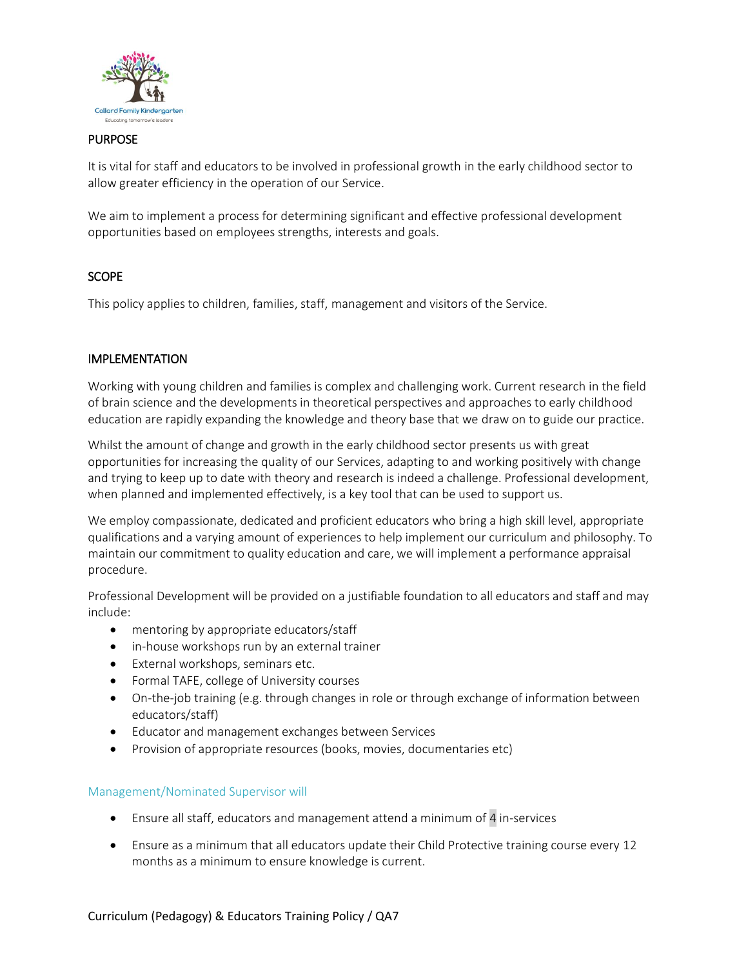

#### PURPOSE

It is vital for staff and educators to be involved in professional growth in the early childhood sector to allow greater efficiency in the operation of our Service.

We aim to implement a process for determining significant and effective professional development opportunities based on employees strengths, interests and goals.

## **SCOPE**

This policy applies to children, families, staff, management and visitors of the Service.

#### IMPLEMENTATION

Working with young children and families is complex and challenging work. Current research in the field of brain science and the developments in theoretical perspectives and approaches to early childhood education are rapidly expanding the knowledge and theory base that we draw on to guide our practice.

Whilst the amount of change and growth in the early childhood sector presents us with great opportunities for increasing the quality of our Services, adapting to and working positively with change and trying to keep up to date with theory and research is indeed a challenge. Professional development, when planned and implemented effectively, is a key tool that can be used to support us.

We employ compassionate, dedicated and proficient educators who bring a high skill level, appropriate qualifications and a varying amount of experiences to help implement our curriculum and philosophy. To maintain our commitment to quality education and care, we will implement a performance appraisal procedure.

Professional Development will be provided on a justifiable foundation to all educators and staff and may include:

- mentoring by appropriate educators/staff
- in-house workshops run by an external trainer
- External workshops, seminars etc.
- Formal TAFE, college of University courses
- On-the-job training (e.g. through changes in role or through exchange of information between educators/staff)
- Educator and management exchanges between Services
- Provision of appropriate resources (books, movies, documentaries etc)

#### Management/Nominated Supervisor will

- Ensure all staff, educators and management attend a minimum of 4 in-services
- Ensure as a minimum that all educators update their Child Protective training course every 12 months as a minimum to ensure knowledge is current.